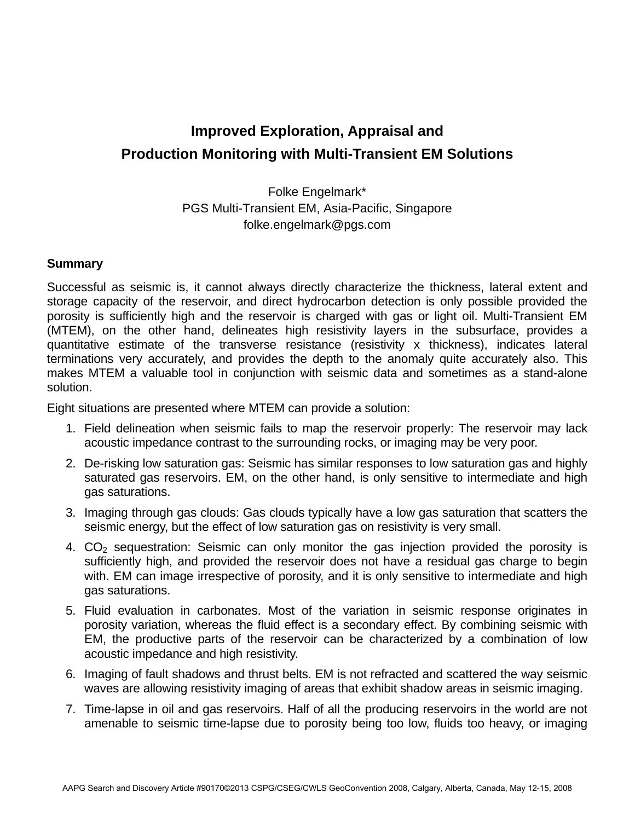# **Improved Exploration, Appraisal and Production Monitoring with Multi-Transient EM Solutions**

Folke Engelmark\* PGS Multi-Transient EM, Asia-Pacific, Singapore folke.engelmark@pgs.com

#### **Summary**

Successful as seismic is, it cannot always directly characterize the thickness, lateral extent and storage capacity of the reservoir, and direct hydrocarbon detection is only possible provided the porosity is sufficiently high and the reservoir is charged with gas or light oil. Multi-Transient EM (MTEM), on the other hand, delineates high resistivity layers in the subsurface, provides a quantitative estimate of the transverse resistance (resistivity x thickness), indicates lateral terminations very accurately, and provides the depth to the anomaly quite accurately also. This makes MTEM a valuable tool in conjunction with seismic data and sometimes as a stand-alone solution.

Eight situations are presented where MTEM can provide a solution:

- 1. Field delineation when seismic fails to map the reservoir properly: The reservoir may lack acoustic impedance contrast to the surrounding rocks, or imaging may be very poor.
- 2. De-risking low saturation gas: Seismic has similar responses to low saturation gas and highly saturated gas reservoirs. EM, on the other hand, is only sensitive to intermediate and high gas saturations.
- 3. Imaging through gas clouds: Gas clouds typically have a low gas saturation that scatters the seismic energy, but the effect of low saturation gas on resistivity is very small.
- 4. CO<sub>2</sub> sequestration: Seismic can only monitor the gas injection provided the porosity is sufficiently high, and provided the reservoir does not have a residual gas charge to begin with. EM can image irrespective of porosity, and it is only sensitive to intermediate and high gas saturations.
- 5. Fluid evaluation in carbonates. Most of the variation in seismic response originates in porosity variation, whereas the fluid effect is a secondary effect. By combining seismic with EM, the productive parts of the reservoir can be characterized by a combination of low acoustic impedance and high resistivity.
- 6. Imaging of fault shadows and thrust belts. EM is not refracted and scattered the way seismic waves are allowing resistivity imaging of areas that exhibit shadow areas in seismic imaging.
- 7. Time-lapse in oil and gas reservoirs. Half of all the producing reservoirs in the world are not amenable to seismic time-lapse due to porosity being too low, fluids too heavy, or imaging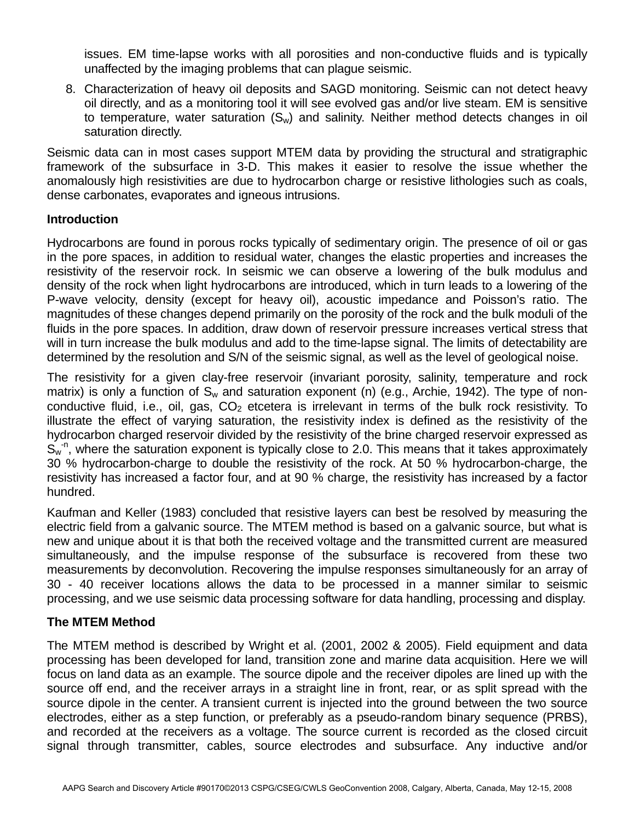issues. EM time-lapse works with all porosities and non-conductive fluids and is typically unaffected by the imaging problems that can plague seismic.

8. Characterization of heavy oil deposits and SAGD monitoring. Seismic can not detect heavy oil directly, and as a monitoring tool it will see evolved gas and/or live steam. EM is sensitive to temperature, water saturation  $(S_w)$  and salinity. Neither method detects changes in oil saturation directly.

Seismic data can in most cases support MTEM data by providing the structural and stratigraphic framework of the subsurface in 3-D. This makes it easier to resolve the issue whether the anomalously high resistivities are due to hydrocarbon charge or resistive lithologies such as coals, dense carbonates, evaporates and igneous intrusions.

### **Introduction**

Hydrocarbons are found in porous rocks typically of sedimentary origin. The presence of oil or gas in the pore spaces, in addition to residual water, changes the elastic properties and increases the resistivity of the reservoir rock. In seismic we can observe a lowering of the bulk modulus and density of the rock when light hydrocarbons are introduced, which in turn leads to a lowering of the P-wave velocity, density (except for heavy oil), acoustic impedance and Poisson's ratio. The magnitudes of these changes depend primarily on the porosity of the rock and the bulk moduli of the fluids in the pore spaces. In addition, draw down of reservoir pressure increases vertical stress that will in turn increase the bulk modulus and add to the time-lapse signal. The limits of detectability are determined by the resolution and S/N of the seismic signal, as well as the level of geological noise.

The resistivity for a given clay-free reservoir (invariant porosity, salinity, temperature and rock matrix) is only a function of  $S_w$  and saturation exponent (n) (e.g., Archie, 1942). The type of nonconductive fluid, i.e., oil, gas,  $CO<sub>2</sub>$  etcetera is irrelevant in terms of the bulk rock resistivity. To illustrate the effect of varying saturation, the resistivity index is defined as the resistivity of the hydrocarbon charged reservoir divided by the resistivity of the brine charged reservoir expressed as  $S_{w}^{n}$ , where the saturation exponent is typically close to 2.0. This means that it takes approximately 30 % hydrocarbon-charge to double the resistivity of the rock. At 50 % hydrocarbon-charge, the resistivity has increased a factor four, and at 90 % charge, the resistivity has increased by a factor hundred.

Kaufman and Keller (1983) concluded that resistive layers can best be resolved by measuring the electric field from a galvanic source. The MTEM method is based on a galvanic source, but what is new and unique about it is that both the received voltage and the transmitted current are measured simultaneously, and the impulse response of the subsurface is recovered from these two measurements by deconvolution. Recovering the impulse responses simultaneously for an array of 30 - 40 receiver locations allows the data to be processed in a manner similar to seismic processing, and we use seismic data processing software for data handling, processing and display.

# **The MTEM Method**

The MTEM method is described by Wright et al. (2001, 2002 & 2005). Field equipment and data processing has been developed for land, transition zone and marine data acquisition. Here we will focus on land data as an example. The source dipole and the receiver dipoles are lined up with the source off end, and the receiver arrays in a straight line in front, rear, or as split spread with the source dipole in the center. A transient current is injected into the ground between the two source electrodes, either as a step function, or preferably as a pseudo-random binary sequence (PRBS), and recorded at the receivers as a voltage. The source current is recorded as the closed circuit signal through transmitter, cables, source electrodes and subsurface. Any inductive and/or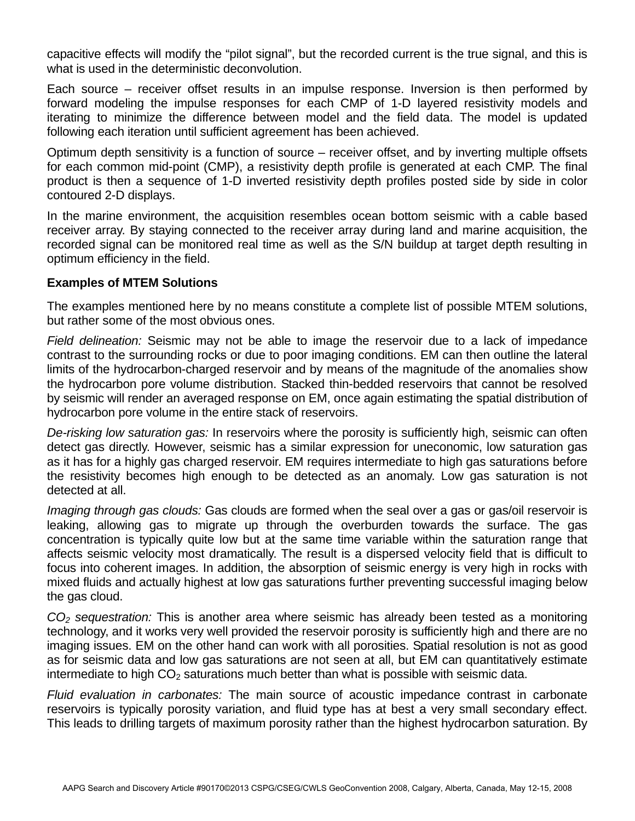capacitive effects will modify the "pilot signal", but the recorded current is the true signal, and this is what is used in the deterministic deconvolution.

Each source – receiver offset results in an impulse response. Inversion is then performed by forward modeling the impulse responses for each CMP of 1-D layered resistivity models and iterating to minimize the difference between model and the field data. The model is updated following each iteration until sufficient agreement has been achieved.

Optimum depth sensitivity is a function of source – receiver offset, and by inverting multiple offsets for each common mid-point (CMP), a resistivity depth profile is generated at each CMP. The final product is then a sequence of 1-D inverted resistivity depth profiles posted side by side in color contoured 2-D displays.

In the marine environment, the acquisition resembles ocean bottom seismic with a cable based receiver array. By staying connected to the receiver array during land and marine acquisition, the recorded signal can be monitored real time as well as the S/N buildup at target depth resulting in optimum efficiency in the field.

# **Examples of MTEM Solutions**

The examples mentioned here by no means constitute a complete list of possible MTEM solutions, but rather some of the most obvious ones.

*Field delineation:* Seismic may not be able to image the reservoir due to a lack of impedance contrast to the surrounding rocks or due to poor imaging conditions. EM can then outline the lateral limits of the hydrocarbon-charged reservoir and by means of the magnitude of the anomalies show the hydrocarbon pore volume distribution. Stacked thin-bedded reservoirs that cannot be resolved by seismic will render an averaged response on EM, once again estimating the spatial distribution of hydrocarbon pore volume in the entire stack of reservoirs.

*De-risking low saturation gas:* In reservoirs where the porosity is sufficiently high, seismic can often detect gas directly. However, seismic has a similar expression for uneconomic, low saturation gas as it has for a highly gas charged reservoir. EM requires intermediate to high gas saturations before the resistivity becomes high enough to be detected as an anomaly. Low gas saturation is not detected at all.

*Imaging through gas clouds:* Gas clouds are formed when the seal over a gas or gas/oil reservoir is leaking, allowing gas to migrate up through the overburden towards the surface. The gas concentration is typically quite low but at the same time variable within the saturation range that affects seismic velocity most dramatically. The result is a dispersed velocity field that is difficult to focus into coherent images. In addition, the absorption of seismic energy is very high in rocks with mixed fluids and actually highest at low gas saturations further preventing successful imaging below the gas cloud.

*CO2 sequestration:* This is another area where seismic has already been tested as a monitoring technology, and it works very well provided the reservoir porosity is sufficiently high and there are no imaging issues. EM on the other hand can work with all porosities. Spatial resolution is not as good as for seismic data and low gas saturations are not seen at all, but EM can quantitatively estimate intermediate to high  $CO<sub>2</sub>$  saturations much better than what is possible with seismic data.

*Fluid evaluation in carbonates:* The main source of acoustic impedance contrast in carbonate reservoirs is typically porosity variation, and fluid type has at best a very small secondary effect. This leads to drilling targets of maximum porosity rather than the highest hydrocarbon saturation. By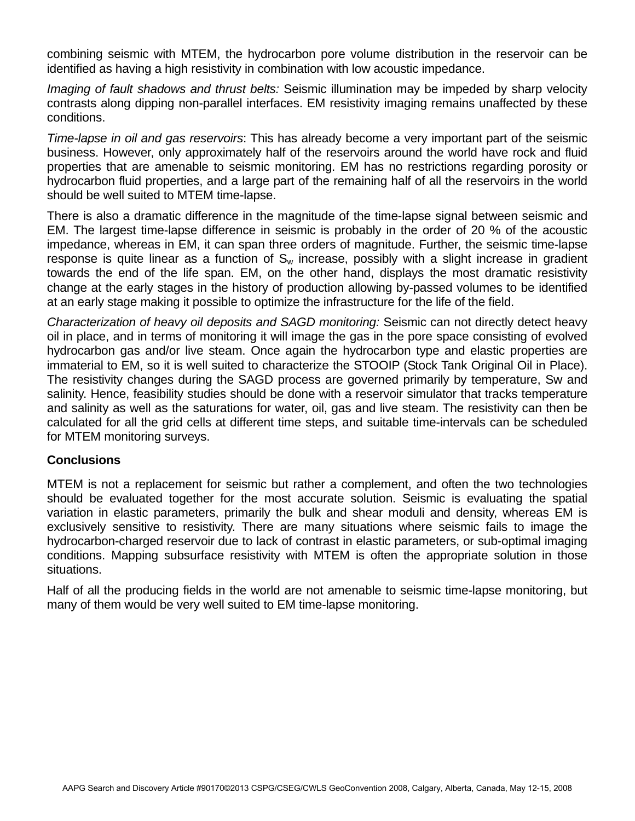combining seismic with MTEM, the hydrocarbon pore volume distribution in the reservoir can be identified as having a high resistivity in combination with low acoustic impedance.

*Imaging of fault shadows and thrust belts:* Seismic illumination may be impeded by sharp velocity contrasts along dipping non-parallel interfaces. EM resistivity imaging remains unaffected by these conditions.

*Time-lapse in oil and gas reservoirs*: This has already become a very important part of the seismic business. However, only approximately half of the reservoirs around the world have rock and fluid properties that are amenable to seismic monitoring. EM has no restrictions regarding porosity or hydrocarbon fluid properties, and a large part of the remaining half of all the reservoirs in the world should be well suited to MTEM time-lapse.

There is also a dramatic difference in the magnitude of the time-lapse signal between seismic and EM. The largest time-lapse difference in seismic is probably in the order of 20 % of the acoustic impedance, whereas in EM, it can span three orders of magnitude. Further, the seismic time-lapse response is quite linear as a function of  $S_w$  increase, possibly with a slight increase in gradient towards the end of the life span. EM, on the other hand, displays the most dramatic resistivity change at the early stages in the history of production allowing by-passed volumes to be identified at an early stage making it possible to optimize the infrastructure for the life of the field.

*Characterization of heavy oil deposits and SAGD monitoring:* Seismic can not directly detect heavy oil in place, and in terms of monitoring it will image the gas in the pore space consisting of evolved hydrocarbon gas and/or live steam. Once again the hydrocarbon type and elastic properties are immaterial to EM, so it is well suited to characterize the STOOIP (Stock Tank Original Oil in Place). The resistivity changes during the SAGD process are governed primarily by temperature, Sw and salinity. Hence, feasibility studies should be done with a reservoir simulator that tracks temperature and salinity as well as the saturations for water, oil, gas and live steam. The resistivity can then be calculated for all the grid cells at different time steps, and suitable time-intervals can be scheduled for MTEM monitoring surveys.

# **Conclusions**

MTEM is not a replacement for seismic but rather a complement, and often the two technologies should be evaluated together for the most accurate solution. Seismic is evaluating the spatial variation in elastic parameters, primarily the bulk and shear moduli and density, whereas EM is exclusively sensitive to resistivity. There are many situations where seismic fails to image the hydrocarbon-charged reservoir due to lack of contrast in elastic parameters, or sub-optimal imaging conditions. Mapping subsurface resistivity with MTEM is often the appropriate solution in those situations.

Half of all the producing fields in the world are not amenable to seismic time-lapse monitoring, but many of them would be very well suited to EM time-lapse monitoring.